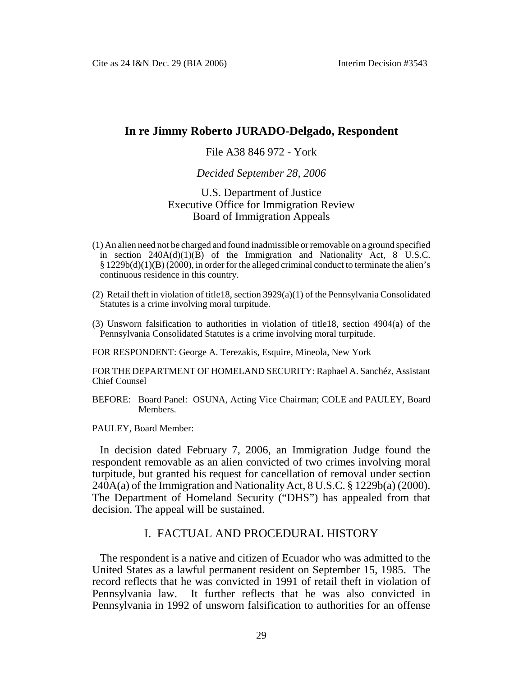## **In re Jimmy Roberto JURADO-Delgado, Respondent**

## File A38 846 972 - York

#### *Decided September 28, 2006*

## U.S. Department of Justice Executive Office for Immigration Review Board of Immigration Appeals

- (1) An alien need not be charged and found inadmissible or removable on a ground specified in section  $240A(d)(1)(B)$  of the Immigration and Nationality Act, 8 U.S.C. § 1229b(d)(1)(B) (2000), in order for the alleged criminal conduct to terminate the alien's continuous residence in this country.
- (2) Retail theft in violation of title18, section  $3929(a)(1)$  of the Pennsylvania Consolidated Statutes is a crime involving moral turpitude.
- (3) Unsworn falsification to authorities in violation of title18, section 4904(a) of the Pennsylvania Consolidated Statutes is a crime involving moral turpitude.

FOR RESPONDENT: George A. Terezakis, Esquire, Mineola, New York

FOR THE DEPARTMENT OF HOMELAND SECURITY: Raphael A. Sanchéz, Assistant Chief Counsel

BEFORE: Board Panel: OSUNA, Acting Vice Chairman; COLE and PAULEY, Board Members.

PAULEY, Board Member:

In decision dated February 7, 2006, an Immigration Judge found the respondent removable as an alien convicted of two crimes involving moral turpitude, but granted his request for cancellation of removal under section  $240A(a)$  of the Immigration and Nationality Act,  $8 \text{ U.S.C.}$   $\frac{8}{9}$  1229b(a) (2000). The Department of Homeland Security ("DHS") has appealed from that decision. The appeal will be sustained.

## I. FACTUAL AND PROCEDURAL HISTORY

The respondent is a native and citizen of Ecuador who was admitted to the United States as a lawful permanent resident on September 15, 1985. The record reflects that he was convicted in 1991 of retail theft in violation of Pennsylvania law. It further reflects that he was also convicted in Pennsylvania in 1992 of unsworn falsification to authorities for an offense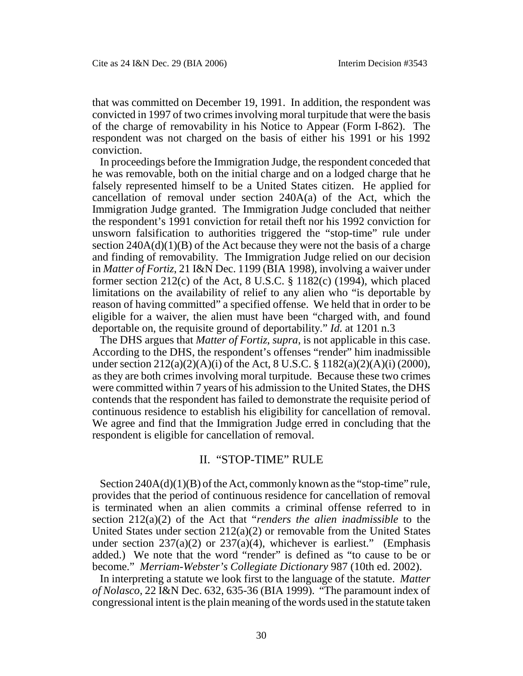that was committed on December 19, 1991. In addition, the respondent was convicted in 1997 of two crimes involving moral turpitude that were the basis of the charge of removability in his Notice to Appear (Form I-862). The respondent was not charged on the basis of either his 1991 or his 1992 conviction.

In proceedings before the Immigration Judge, the respondent conceded that he was removable, both on the initial charge and on a lodged charge that he falsely represented himself to be a United States citizen. He applied for cancellation of removal under section 240A(a) of the Act, which the Immigration Judge granted. The Immigration Judge concluded that neither the respondent's 1991 conviction for retail theft nor his 1992 conviction for unsworn falsification to authorities triggered the "stop-time" rule under section  $240A(d)(1)(B)$  of the Act because they were not the basis of a charge and finding of removability. The Immigration Judge relied on our decision in *Matter of Fortiz*, 21 I&N Dec. 1199 (BIA 1998), involving a waiver under former section  $212(c)$  of the Act, 8 U.S.C. § 1182(c) (1994), which placed limitations on the availability of relief to any alien who "is deportable by reason of having committed" a specified offense. We held that in order to be eligible for a waiver, the alien must have been "charged with, and found deportable on, the requisite ground of deportability." *Id.* at 1201 n.3

The DHS argues that *Matter of Fortiz*, *supra*, is not applicable in this case. According to the DHS, the respondent's offenses "render" him inadmissible under section 212(a)(2)(A)(i) of the Act, 8 U.S.C. § 1182(a)(2)(A)(i) (2000), as they are both crimes involving moral turpitude. Because these two crimes were committed within 7 years of his admission to the United States, the DHS contends that the respondent has failed to demonstrate the requisite period of continuous residence to establish his eligibility for cancellation of removal. We agree and find that the Immigration Judge erred in concluding that the respondent is eligible for cancellation of removal.

# II. "STOP-TIME" RULE

Section 240A(d)(1)(B) of the Act, commonly known as the "stop-time" rule, provides that the period of continuous residence for cancellation of removal is terminated when an alien commits a criminal offense referred to in section 212(a)(2) of the Act that "*renders the alien inadmissible* to the United States under section 212(a)(2) or removable from the United States under section  $237(a)(2)$  or  $237(a)(4)$ , whichever is earliest." (Emphasis added.) We note that the word "render" is defined as "to cause to be or become." *Merriam-Webster's Collegiate Dictionary* 987 (10th ed. 2002).

In interpreting a statute we look first to the language of the statute. *Matter of Nolasco*, 22 I&N Dec. 632, 635-36 (BIA 1999). "The paramount index of congressional intent is the plain meaning of the words used in the statute taken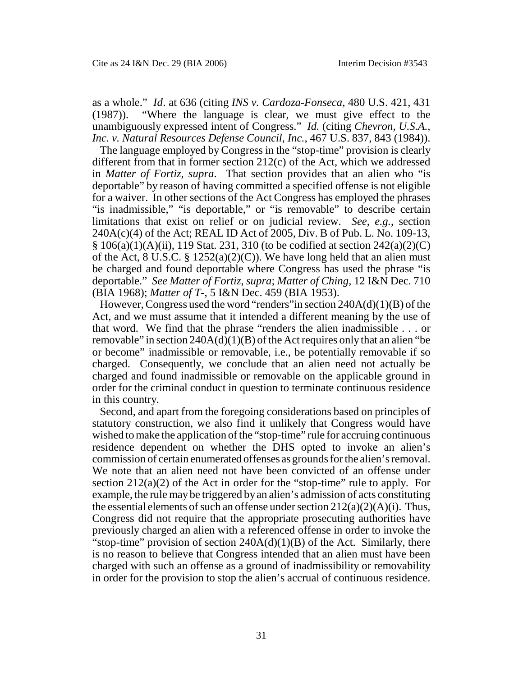as a whole." *Id*. at 636 (citing *INS v. Cardoza-Fonseca*, 480 U.S. 421, 431 (1987)). "Where the language is clear, we must give effect to the unambiguously expressed intent of Congress." *Id.* (citing *Chevron, U.S.A., Inc. v. Natural Resources Defense Council, Inc.*, 467 U.S. 837, 843 (1984)).

The language employed by Congress in the "stop-time" provision is clearly different from that in former section 212(c) of the Act, which we addressed in *Matter of Fortiz*, *supra*. That section provides that an alien who "is deportable" by reason of having committed a specified offense is not eligible for a waiver. In other sections of the Act Congress has employed the phrases "is inadmissible," "is deportable," or "is removable" to describe certain limitations that exist on relief or on judicial review. *See, e.g.*, section 240A(c)(4) of the Act; REAL ID Act of 2005, Div. B of Pub. L. No. 109-13,  $\S$  106(a)(1)(A)(ii), 119 Stat. 231, 310 (to be codified at section 242(a)(2)(C) of the Act, 8 U.S.C. §  $1252(a)(2)(C)$ ). We have long held that an alien must be charged and found deportable where Congress has used the phrase "is deportable." *See Matter of Fortiz*, *supra*; *Matter of Ching*, 12 I&N Dec. 710 (BIA 1968); *Matter of T-*, 5 I&N Dec. 459 (BIA 1953).

However, Congress used the word "renders" in section  $240A(d)(1)(B)$  of the Act, and we must assume that it intended a different meaning by the use of that word. We find that the phrase "renders the alien inadmissible . . . or removable" in section  $240A(d)(1)(B)$  of the Act requires only that an alien "be or become" inadmissible or removable, i.e., be potentially removable if so charged. Consequently, we conclude that an alien need not actually be charged and found inadmissible or removable on the applicable ground in order for the criminal conduct in question to terminate continuous residence in this country.

Second, and apart from the foregoing considerations based on principles of statutory construction, we also find it unlikely that Congress would have wished to make the application of the "stop-time" rule for accruing continuous residence dependent on whether the DHS opted to invoke an alien's commission of certain enumerated offenses as grounds for the alien's removal. We note that an alien need not have been convicted of an offense under section  $212(a)(2)$  of the Act in order for the "stop-time" rule to apply. For example, the rule may be triggered by an alien's admission of acts constituting the essential elements of such an offense under section  $212(a)(2)(A)(i)$ . Thus, Congress did not require that the appropriate prosecuting authorities have previously charged an alien with a referenced offense in order to invoke the "stop-time" provision of section  $240A(d)(1)(B)$  of the Act. Similarly, there is no reason to believe that Congress intended that an alien must have been charged with such an offense as a ground of inadmissibility or removability in order for the provision to stop the alien's accrual of continuous residence.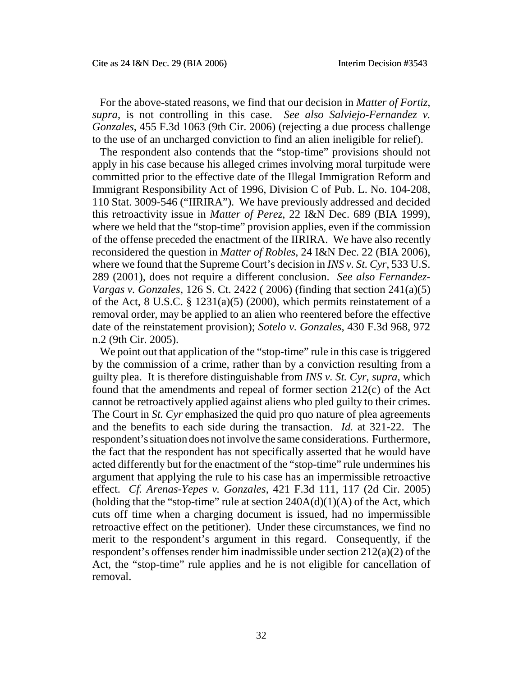For the above-stated reasons, we find that our decision in *Matter of Fortiz*, *supra*, is not controlling in this case. *See also Salviejo-Fernandez v. Gonzales*, 455 F.3d 1063 (9th Cir. 2006) (rejecting a due process challenge to the use of an uncharged conviction to find an alien ineligible for relief).

The respondent also contends that the "stop-time" provisions should not apply in his case because his alleged crimes involving moral turpitude were committed prior to the effective date of the Illegal Immigration Reform and Immigrant Responsibility Act of 1996, Division C of Pub. L. No. 104-208, 110 Stat. 3009-546 ("IIRIRA"). We have previously addressed and decided this retroactivity issue in *Matter of Perez*, 22 I&N Dec. 689 (BIA 1999), where we held that the "stop-time" provision applies, even if the commission of the offense preceded the enactment of the IIRIRA. We have also recently reconsidered the question in *Matter of Robles*, 24 I&N Dec. 22 (BIA 2006), where we found that the Supreme Court's decision in *INS v. St. Cyr*, 533 U.S. 289 (2001), does not require a different conclusion. *See also Fernandez-Vargas v. Gonzales*, 126 S. Ct. 2422 ( 2006) (finding that section 241(a)(5) of the Act, 8 U.S.C. § 1231(a)(5) (2000), which permits reinstatement of a removal order, may be applied to an alien who reentered before the effective date of the reinstatement provision); *Sotelo v. Gonzales*, 430 F.3d 968, 972 n.2 (9th Cir. 2005).

We point out that application of the "stop-time" rule in this case is triggered by the commission of a crime, rather than by a conviction resulting from a guilty plea. It is therefore distinguishable from *INS v. St. Cyr*, *supra*, which found that the amendments and repeal of former section 212(c) of the Act cannot be retroactively applied against aliens who pled guilty to their crimes. The Court in *St. Cyr* emphasized the quid pro quo nature of plea agreements and the benefits to each side during the transaction. *Id.* at 321-22. The respondent's situation does not involve the same considerations. Furthermore, the fact that the respondent has not specifically asserted that he would have acted differently but for the enactment of the "stop-time" rule undermines his argument that applying the rule to his case has an impermissible retroactive effect. *Cf. Arenas-Yepes v. Gonzales*, 421 F.3d 111, 117 (2d Cir. 2005) (holding that the "stop-time" rule at section  $240A(d)(1)(A)$  of the Act, which cuts off time when a charging document is issued, had no impermissible retroactive effect on the petitioner). Under these circumstances, we find no merit to the respondent's argument in this regard. Consequently, if the respondent's offenses render him inadmissible under section 212(a)(2) of the Act, the "stop-time" rule applies and he is not eligible for cancellation of removal.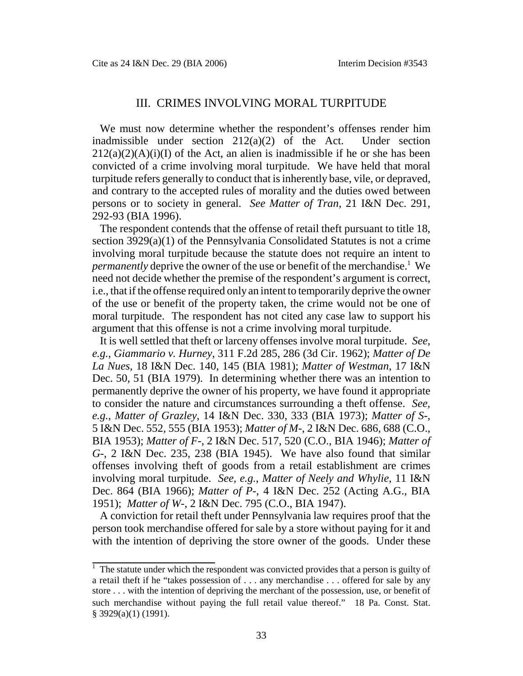## III. CRIMES INVOLVING MORAL TURPITUDE

We must now determine whether the respondent's offenses render him inadmissible under section 212(a)(2) of the Act. Under section  $212(a)(2)(A)(i)(I)$  of the Act, an alien is inadmissible if he or she has been convicted of a crime involving moral turpitude. We have held that moral turpitude refers generally to conduct that is inherently base, vile, or depraved, and contrary to the accepted rules of morality and the duties owed between persons or to society in general. *See Matter of Tran*, 21 I&N Dec. 291, 292-93 (BIA 1996).

The respondent contends that the offense of retail theft pursuant to title 18, section 3929(a)(1) of the Pennsylvania Consolidated Statutes is not a crime involving moral turpitude because the statute does not require an intent to *permanently* deprive the owner of the use or benefit of the merchandise.<sup>1</sup> We need not decide whether the premise of the respondent's argument is correct, i.e., that if the offense required only an intent to temporarily deprive the owner of the use or benefit of the property taken, the crime would not be one of moral turpitude. The respondent has not cited any case law to support his argument that this offense is not a crime involving moral turpitude.

It is well settled that theft or larceny offenses involve moral turpitude. *See, e.g.*, *Giammario v. Hurney*, 311 F.2d 285, 286 (3d Cir. 1962); *Matter of De La Nues*, 18 I&N Dec. 140, 145 (BIA 1981); *Matter of Westman*, 17 I&N Dec. 50, 51 (BIA 1979). In determining whether there was an intention to permanently deprive the owner of his property, we have found it appropriate to consider the nature and circumstances surrounding a theft offense. *See, e.g.*, *Matter of Grazley*, 14 I&N Dec. 330, 333 (BIA 1973); *Matter of S-*, 5 I&N Dec. 552, 555 (BIA 1953); *Matter of M-*, 2 I&N Dec. 686, 688 (C.O., BIA 1953); *Matter of F-*, 2 I&N Dec. 517, 520 (C.O., BIA 1946); *Matter of G-*, 2 I&N Dec. 235, 238 (BIA 1945). We have also found that similar offenses involving theft of goods from a retail establishment are crimes involving moral turpitude. *See, e.g.*, *Matter of Neely and Whylie*, 11 I&N Dec. 864 (BIA 1966); *Matter of P-*, 4 I&N Dec. 252 (Acting A.G., BIA 1951); *Matter of W-*, 2 I&N Dec. 795 (C.O., BIA 1947).

A conviction for retail theft under Pennsylvania law requires proof that the person took merchandise offered for sale by a store without paying for it and with the intention of depriving the store owner of the goods. Under these

 $1$  The statute under which the respondent was convicted provides that a person is guilty of a retail theft if he "takes possession of . . . any merchandise . . . offered for sale by any store . . . with the intention of depriving the merchant of the possession, use, or benefit of such merchandise without paying the full retail value thereof." 18 Pa. Const. Stat. § 3929(a)(1) (1991).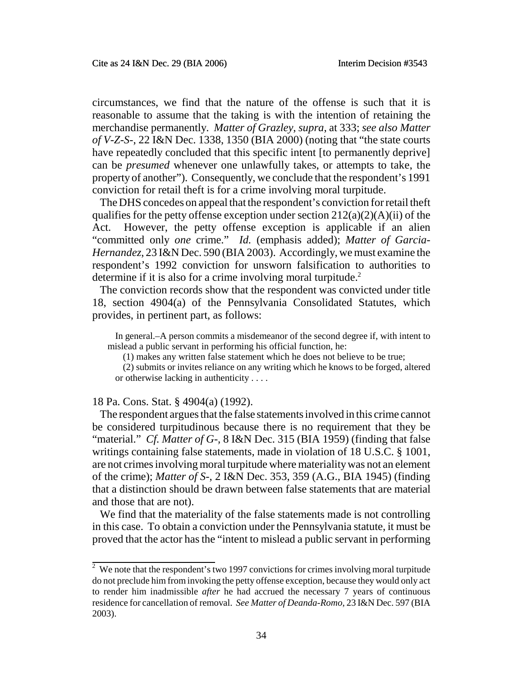circumstances, we find that the nature of the offense is such that it is reasonable to assume that the taking is with the intention of retaining the merchandise permanently. *Matter of Grazley*, *supra*, at 333; *see also Matter of V-Z-S-*, 22 I&N Dec. 1338, 1350 (BIA 2000) (noting that "the state courts have repeatedly concluded that this specific intent [to permanently deprive] can be *presumed* whenever one unlawfully takes, or attempts to take, the property of another"). Consequently, we conclude that the respondent's 1991 conviction for retail theft is for a crime involving moral turpitude.

The DHS concedes on appeal that the respondent's conviction for retail theft qualifies for the petty offense exception under section  $212(a)(2)(A)(ii)$  of the Act. However, the petty offense exception is applicable if an alien "committed only *one* crime." *Id.* (emphasis added); *Matter of Garcia-Hernandez*, 23 I&N Dec. 590 (BIA 2003). Accordingly, we must examine the respondent's 1992 conviction for unsworn falsification to authorities to determine if it is also for a crime involving moral turpitude.<sup>2</sup>

The conviction records show that the respondent was convicted under title 18, section 4904(a) of the Pennsylvania Consolidated Statutes, which provides, in pertinent part, as follows:

In general.–A person commits a misdemeanor of the second degree if, with intent to mislead a public servant in performing his official function, he:

(1) makes any written false statement which he does not believe to be true;

(2) submits or invites reliance on any writing which he knows to be forged, altered or otherwise lacking in authenticity . . . .

#### 18 Pa. Cons. Stat. § 4904(a) (1992).

The respondent argues that the false statements involved in this crime cannot be considered turpitudinous because there is no requirement that they be "material." *Cf. Matter of G-,* 8 I&N Dec. 315 (BIA 1959) (finding that false writings containing false statements, made in violation of 18 U.S.C. § 1001, are not crimes involving moral turpitude where materiality was not an element of the crime); *Matter of S-*, 2 I&N Dec. 353, 359 (A.G., BIA 1945) (finding that a distinction should be drawn between false statements that are material and those that are not).

We find that the materiality of the false statements made is not controlling in this case. To obtain a conviction under the Pennsylvania statute, it must be proved that the actor has the "intent to mislead a public servant in performing

 $2^{\circ}$  We note that the respondent's two 1997 convictions for crimes involving moral turpitude do not preclude him from invoking the petty offense exception, because they would only act to render him inadmissible *after* he had accrued the necessary 7 years of continuous residence for cancellation of removal. *See Matter of Deanda-Romo*, 23 I&N Dec. 597 (BIA 2003).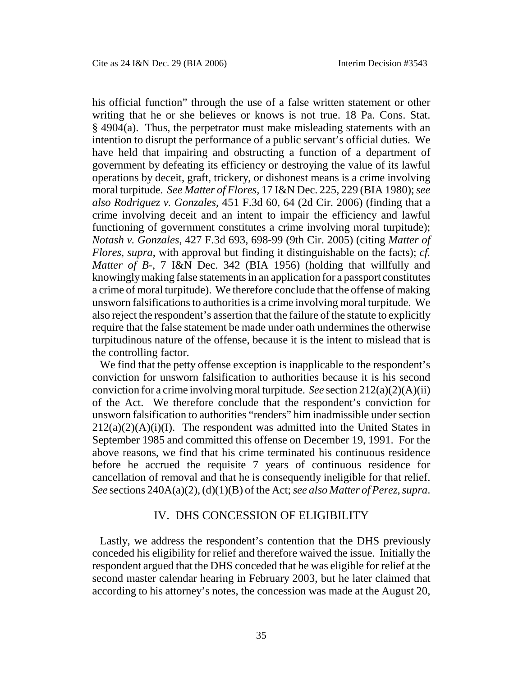his official function" through the use of a false written statement or other writing that he or she believes or knows is not true. 18 Pa. Cons. Stat. § 4904(a). Thus, the perpetrator must make misleading statements with an intention to disrupt the performance of a public servant's official duties. We have held that impairing and obstructing a function of a department of government by defeating its efficiency or destroying the value of its lawful operations by deceit, graft, trickery, or dishonest means is a crime involving moral turpitude. *See Matter of Flores,* 17 I&N Dec. 225, 229 (BIA 1980); *see also Rodriguez v. Gonzales,* 451 F.3d 60, 64 (2d Cir. 2006) (finding that a crime involving deceit and an intent to impair the efficiency and lawful functioning of government constitutes a crime involving moral turpitude); *Notash v. Gonzales*, 427 F.3d 693, 698-99 (9th Cir. 2005) (citing *Matter of Flores*, *supra*, with approval but finding it distinguishable on the facts); *cf. Matter of B-*, 7 I&N Dec. 342 (BIA 1956) (holding that willfully and knowingly making false statements in an application for a passport constitutes a crime of moral turpitude). We therefore conclude that the offense of making unsworn falsifications to authorities is a crime involving moral turpitude. We also reject the respondent's assertion that the failure of the statute to explicitly require that the false statement be made under oath undermines the otherwise turpitudinous nature of the offense, because it is the intent to mislead that is the controlling factor.

We find that the petty offense exception is inapplicable to the respondent's conviction for unsworn falsification to authorities because it is his second conviction for a crime involving moral turpitude. *See* section 212(a)(2)(A)(ii) of the Act. We therefore conclude that the respondent's conviction for unsworn falsification to authorities "renders" him inadmissible under section  $212(a)(2)(A)(i)(I)$ . The respondent was admitted into the United States in September 1985 and committed this offense on December 19, 1991. For the above reasons, we find that his crime terminated his continuous residence before he accrued the requisite 7 years of continuous residence for cancellation of removal and that he is consequently ineligible for that relief. *See* sections 240A(a)(2), (d)(1)(B) of the Act; *see also Matter of Perez*, *supra*.

## IV. DHS CONCESSION OF ELIGIBILITY

Lastly, we address the respondent's contention that the DHS previously conceded his eligibility for relief and therefore waived the issue. Initially the respondent argued that the DHS conceded that he was eligible for relief at the second master calendar hearing in February 2003, but he later claimed that according to his attorney's notes, the concession was made at the August 20,